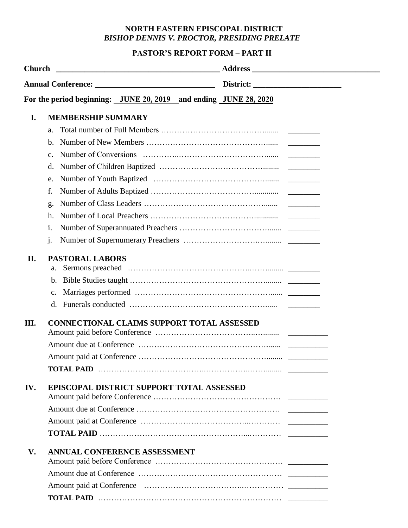## **NORTH EASTERN EPISCOPAL DISTRICT**  *BISHOP DENNIS V. PROCTOR, PRESIDING PRELATE*

## **PASTOR'S REPORT FORM – PART II**

|          | For the period beginning: JUNE 20, 2019 and ending JUNE 28, 2020                                                      |  |
|----------|-----------------------------------------------------------------------------------------------------------------------|--|
| I.       | <b>MEMBERSHIP SUMMARY</b><br>a.<br>b.<br>c.                                                                           |  |
|          | d.<br>e.<br>f.<br>g.<br>h.<br>i.<br>j.                                                                                |  |
| П.<br>Ш. | <b>PASTORAL LABORS</b><br>a.<br>$\mathbf{b}$ .<br>$\mathbf{c}$ .<br><b>CONNECTIONAL CLAIMS SUPPORT TOTAL ASSESSED</b> |  |
|          |                                                                                                                       |  |
| IV.      | EPISCOPAL DISTRICT SUPPORT TOTAL ASSESSED                                                                             |  |
| V.       | ANNUAL CONFERENCE ASSESSMENT                                                                                          |  |